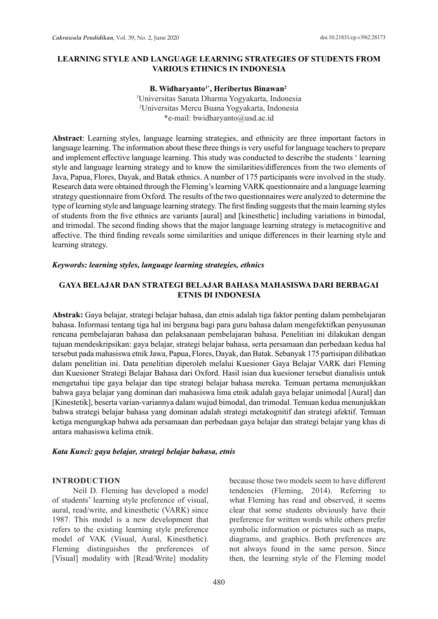### **LEARNING STYLE AND LANGUAGE LEARNING STRATEGIES OF STUDENTS FROM VARIOUS ETHNICS IN INDONESIA**

### **B. Widharyanto1\*, Heribertus Binawan<sup>2</sup>** 1 Universitas Sanata Dharma Yogyakarta, Indonesia 2 Universitas Mercu Buana Yogyakarta, Indonesia \*e-mail: bwidharyanto@usd.ac.id

**Abstract**: Learning styles, language learning strategies, and ethnicity are three important factors in language learning. The information about these three things is very useful for language teachers to prepare and implement effective language learning. This study was conducted to describe the students ' learning style and language learning strategy and to know the similarities/differences from the two elements of Java, Papua, Flores, Dayak, and Batak ethnics. A number of 175 participants were involved in the study. Research data were obtained through the Fleming's learning VARK questionnaire and a language learning strategy questionnaire from Oxford. The results of the two questionnaires were analyzed to determine the type of learning style and language learning strategy. The first finding suggests that the main learning styles of students from the five ethnics are variants [aural] and [kinesthetic] including variations in bimodal, and trimodal. The second finding shows that the major language learning strategy is metacognitive and affective. The third finding reveals some similarities and unique differences in their learning style and learning strategy.

#### *Keywords: learning styles, language learning strategies, ethnics*

### **GAYA BELAJAR DAN STRATEGI BELAJAR BAHASA MAHASISWA DARI BERBAGAI ETNIS DI INDONESIA**

**Abstrak:** Gaya belajar, strategi belajar bahasa, dan etnis adalah tiga faktor penting dalam pembelajaran bahasa. Informasi tentang tiga hal ini berguna bagi para guru bahasa dalam mengefektifkan penyusunan rencana pembelajaran bahasa dan pelaksanaan pembelajaran bahasa. Penelitian ini dilakukan dengan tujuan mendeskripsikan: gaya belajar, strategi belajar bahasa, serta persamaan dan perbedaan kedua hal tersebut pada mahasiswa etnik Jawa, Papua, Flores, Dayak, dan Batak. Sebanyak 175 partisipan dilibatkan dalam penelitian ini. Data penelitian diperoleh melalui Kuesioner Gaya Belajar VARK dari Fleming dan Kuesioner Strategi Belajar Bahasa dari Oxford. Hasil isian dua kuesioner tersebut dianalisis untuk mengetahui tipe gaya belajar dan tipe strategi belajar bahasa mereka. Temuan pertama menunjukkan bahwa gaya belajar yang dominan dari mahasiswa lima etnik adalah gaya belajar unimodal [Aural] dan [Kinestetik], beserta varian-variannya dalam wujud bimodal, dan trimodal. Temuan kedua menunjukkan bahwa strategi belajar bahasa yang dominan adalah strategi metakognitif dan strategi afektif. Temuan ketiga mengungkap bahwa ada persamaan dan perbedaan gaya belajar dan strategi belajar yang khas di antara mahasiswa kelima etnik.

#### *Kata Kunci: gaya belajar, strategi belajar bahasa, etnis*

#### **INTRODUCTION**

Neil D. Fleming has developed a model of students' learning style preference of visual, aural, read/write, and kinesthetic (VARK) since 1987. This model is a new development that refers to the existing learning style preference model of VAK (Visual, Aural, Kinesthetic). Fleming distinguishes the preferences of [Visual] modality with [Read/Write] modality because those two models seem to have different tendencies (Fleming, 2014). Referring to what Fleming has read and observed, it seems clear that some students obviously have their preference for written words while others prefer symbolic information or pictures such as maps, diagrams, and graphics. Both preferences are not always found in the same person. Since then, the learning style of the Fleming model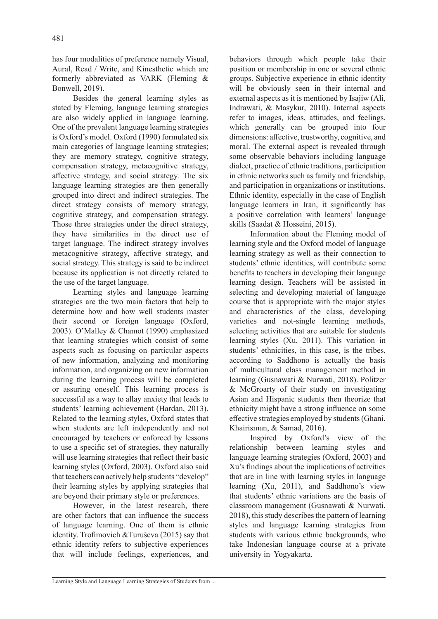has four modalities of preference namely Visual, Aural, Read / Write, and Kinesthetic which are formerly abbreviated as VARK (Fleming & Bonwell, 2019).

Besides the general learning styles as stated by Fleming, language learning strategies are also widely applied in language learning. One of the prevalent language learning strategies is Oxford's model. Oxford (1990) formulated six main categories of language learning strategies; they are memory strategy, cognitive strategy, compensation strategy, metacognitive strategy, affective strategy, and social strategy. The six language learning strategies are then generally grouped into direct and indirect strategies. The direct strategy consists of memory strategy, cognitive strategy, and compensation strategy. Those three strategies under the direct strategy, they have similarities in the direct use of target language. The indirect strategy involves metacognitive strategy, affective strategy, and social strategy. This strategy is said to be indirect because its application is not directly related to the use of the target language.

Learning styles and language learning strategies are the two main factors that help to determine how and how well students master their second or foreign language (Oxford, 2003). O'Malley & Chamot (1990) emphasized that learning strategies which consist of some aspects such as focusing on particular aspects of new information, analyzing and monitoring information, and organizing on new information during the learning process will be completed or assuring oneself. This learning process is successful as a way to allay anxiety that leads to students' learning achievement (Hardan, 2013). Related to the learning styles, Oxford states that when students are left independently and not encouraged by teachers or enforced by lessons to use a specific set of strategies, they naturally will use learning strategies that reflect their basic learning styles (Oxford, 2003). Oxford also said that teachers can actively help students "develop" their learning styles by applying strategies that are beyond their primary style or preferences.

However, in the latest research, there are other factors that can influence the success of language learning. One of them is ethnic identity. Trofimovich &Turuševa (2015) say that ethnic identity refers to subjective experiences that will include feelings, experiences, and behaviors through which people take their position or membership in one or several ethnic groups. Subjective experience in ethnic identity will be obviously seen in their internal and external aspects as it is mentioned by Isajiw (Ali, Indrawati, & Masykur, 2010). Internal aspects refer to images, ideas, attitudes, and feelings, which generally can be grouped into four dimensions: affective, trustworthy, cognitive, and moral. The external aspect is revealed through some observable behaviors including language dialect, practice of ethnic traditions, participation in ethnic networks such as family and friendship, and participation in organizations or institutions. Ethnic identity, especially in the case of English language learners in Iran, it significantly has a positive correlation with learners' language skills (Saadat & Hosseini, 2015).

Information about the Fleming model of learning style and the Oxford model of language learning strategy as well as their connection to students' ethnic identities, will contribute some benefits to teachers in developing their language learning design. Teachers will be assisted in selecting and developing material of language course that is appropriate with the major styles and characteristics of the class, developing varieties and not-single learning methods, selecting activities that are suitable for students learning styles (Xu, 2011). This variation in students' ethnicities, in this case, is the tribes, according to Saddhono is actually the basis of multicultural class management method in learning (Gusnawati & Nurwati, 2018). Politzer & McGroarty of their study on investigating Asian and Hispanic students then theorize that ethnicity might have a strong influence on some effective strategies employed by students (Ghani, Khairisman, & Samad, 2016).

Inspired by Oxford's view of the relationship between learning styles and language learning strategies (Oxford, 2003) and Xu's findings about the implications of activities that are in line with learning styles in language learning (Xu, 2011), and Saddhono's view that students' ethnic variations are the basis of classroom management (Gusnawati & Nurwati, 2018), this study describes the pattern of learning styles and language learning strategies from students with various ethnic backgrounds, who take Indonesian language course at a private university in Yogyakarta.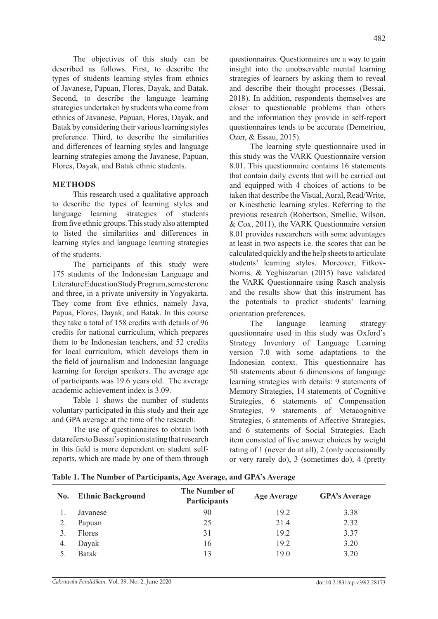The objectives of this study can be described as follows. First, to describe the types of students learning styles from ethnics of Javanese, Papuan, Flores, Dayak, and Batak. Second, to describe the language learning strategies undertaken by students who come from ethnics of Javanese, Papuan, Flores, Dayak, and Batak by considering their various learning styles preference. Third, to describe the similarities and differences of learning styles and language learning strategies among the Javanese, Papuan, Flores, Dayak, and Batak ethnic students.

#### **METHODS**

This research used a qualitative approach to describe the types of learning styles and language learning strategies of students fromfive ethnic groups. This study also attempted to listed the similarities and differences in learning styles and language learning strategies of the students.

The participants of this study were 175 students of the Indonesian Language and Literature Education Study Program, semester one and three, in a private university in Yogyakarta. They come from five ethnics, namely Java, Papua, Flores, Dayak, and Batak. In this course they take a total of 158 credits with details of 96 credits for national curriculum, which prepares them to be Indonesian teachers, and 52 credits for local curriculum, which develops them in the field of journalism and Indonesian language learning for foreign speakers. The average age of participants was 19.6 years old. The average academic achievement index is 3.09.

Table 1 shows the number of students voluntary participated in this study and their age and GPA average at the time of the research.

The use of questionnaires to obtain both data refers to Bessai's opinion stating that research in this field is more dependent on student selfreports, which are made by one of them through questionnaires. Questionnaires are a way to gain insight into the unobservable mental learning strategies of learners by asking them to reveal and describe their thought processes (Bessai, 2018). In addition, respondents themselves are closer to questionable problems than others and the information they provide in self-report questionnaires tends to be accurate (Demetriou, Ozer, & Essau, 2015).

The learning style questionnaire used in this study was the VARK Questionnaire version 8.01. This questionnaire contains 16 statements that contain daily events that will be carried out and equipped with 4 choices of actions to be taken that describe the Visual, Aural, Read/Write, or Kinesthetic learning styles. Referring to the previous research (Robertson, Smellie, Wilson, & Cox, 2011), the VARK Questionnaire version 8.01 provides researchers with some advantages at least in two aspects i.e. the scores that can be calculated quickly and the help sheets to articulate students' learning styles. Moreover, Fitkov-Norris, & Yeghiazarian (2015) have validated the VARK Questionnaire using Rasch analysis and the results show that this instrument has the potentials to predict students' learning orientation preferences.

The language learning strategy questionnaire used in this study was Oxford's Strategy Inventory of Language Learning version 7.0 with some adaptations to the Indonesian context. This questionnaire has 50 statements about 6 dimensions of language learning strategies with details: 9 statements of Memory Strategies, 14 statements of Cognitive Strategies, 6 statements of Compensation Strategies, 9 statements of Metacognitive Strategies, 6 statements of Affective Strategies, and 6 statements of Social Strategies. Each item consisted of five answer choices by weight rating of 1 (never do at all), 2 (only occasionally or very rarely do), 3 (sometimes do), 4 (pretty

| No. | <b>Ethnic Background</b> | <b>The Number of</b><br><b>Participants</b> | <b>Age Average</b> | <b>GPA's Average</b> |  |
|-----|--------------------------|---------------------------------------------|--------------------|----------------------|--|
|     | Javanese                 | 90                                          | 19.2               | 3.38                 |  |
|     | Papuan                   | 25                                          | 21.4               | 2.32                 |  |
|     | Flores                   | 31                                          | 19.2               | 3.37                 |  |
| 4.  | Dayak                    | 16                                          | 19.2               | 3.20                 |  |
|     | <b>Batak</b>             | 13                                          | 19.0               | 3.20                 |  |

**Table 1. The Number of Participants, Age Average, and GPA's Average**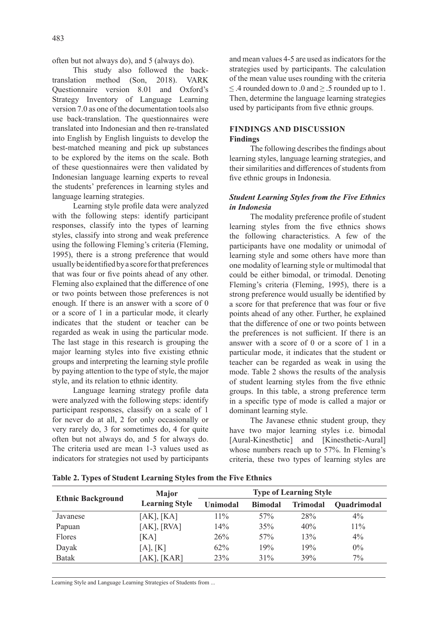often but not always do), and 5 (always do).

This study also followed the backtranslation method (Son, 2018). VARK Questionnaire version 8.01 and Oxford's Strategy Inventory of Language Learning version 7.0 as one of the documentation tools also use back-translation. The questionnaires were translated into Indonesian and then re-translated into English by English linguists to develop the best-matched meaning and pick up substances to be explored by the items on the scale. Both of these questionnaires were then validated by Indonesian language learning experts to reveal the students' preferences in learning styles and language learning strategies.

Learning style profile data were analyzed with the following steps: identify participant responses, classify into the types of learning styles, classify into strong and weak preference using the following Fleming's criteria (Fleming, 1995), there is a strong preference that would usually be identified by a score for that preferences that was four or five points ahead of any other. Fleming also explained that the difference of one or two points between those preferences is not enough. If there is an answer with a score of 0 or a score of 1 in a particular mode, it clearly indicates that the student or teacher can be regarded as weak in using the particular mode. The last stage in this research is grouping the major learning styles into five existing ethnic groups and interpreting the learning style profile by paying attention to the type of style, the major style, and its relation to ethnic identity.

Language learning strategy profile data were analyzed with the following steps: identify participant responses, classify on a scale of 1 for never do at all, 2 for only occasionally or very rarely do, 3 for sometimes do, 4 for quite often but not always do, and 5 for always do. The criteria used are mean 1-3 values used as indicators for strategies not used by participants and mean values 4-5 are used as indicators for the strategies used by participants. The calculation of the mean value uses rounding with the criteria  $\leq$  4 rounded down to .0 and  $\geq$  5 rounded up to 1. Then, determine the language learning strategies used by participants from five ethnic groups.

### **FINDINGS AND DISCUSSION Findings**

The following describes the findings about learning styles, language learning strategies, and their similarities and differences of students from five ethnic groups in Indonesia.

### *Student Learning Styles from the Five Ethnics in Indonesia*

The modality preference profile of student learning styles from the five ethnics shows the following characteristics. A few of the participants have one modality or unimodal of learning style and some others have more than one modality of learning style or multimodal that could be either bimodal, or trimodal. Denoting Fleming's criteria (Fleming, 1995), there is a strong preference would usually be identified by a score for that preference that was four or five points ahead of any other. Further, he explained that the difference of one or two points between the preferences is not sufficient. If there is an answer with a score of 0 or a score of 1 in a particular mode, it indicates that the student or teacher can be regarded as weak in using the mode. Table 2 shows the results of the analysis of student learning styles from the five ethnic groups. In this table, a strong preference term in a specific type of mode is called a major or dominant learning style.

The Javanese ethnic student group, they have two major learning styles i.e. bimodal [Aural-Kinesthetic] and [Kinesthetic-Aural] whose numbers reach up to 57%. In Fleming's criteria, these two types of learning styles are

| <b>Ethnic Background</b> | <b>Major</b>          | <b>Type of Learning Style</b> |                |                 |             |  |
|--------------------------|-----------------------|-------------------------------|----------------|-----------------|-------------|--|
|                          | <b>Learning Style</b> | Unimodal                      | <b>Bimodal</b> | <b>Trimodal</b> | Quadrimodal |  |
| Javanese                 | [AK], [KA]            | $11\%$                        | 57%            | 28%             | $4\%$       |  |
| Papuan                   | [AK], [RVA]           | 14%                           | 35%            | 40%             | 11%         |  |
| Flores                   | [KA]                  | 26%                           | 57%            | 13%             | $4\%$       |  |
| Dayak                    | [A], [K]              | 62%                           | 19%            | 19%             | $0\%$       |  |
| <b>Batak</b>             | $[AK]$ , $[KAR]$      | 23%                           | $31\%$         | 39%             | 7%          |  |

**Table 2. Types of Student Learning Styles from the Five Ethnics**

Learning Style and Language Learning Strategies of Students from ...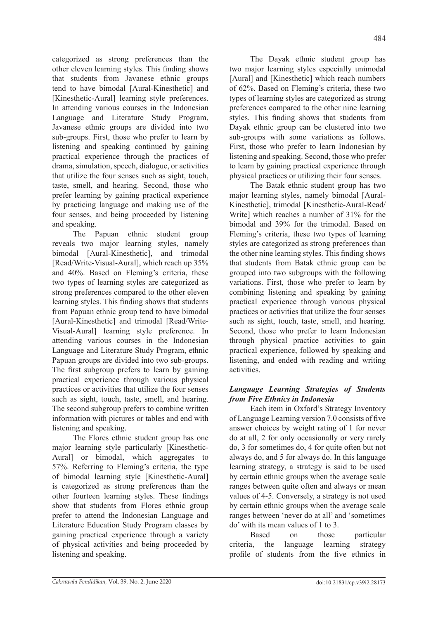categorized as strong preferences than the other eleven learning styles. This finding shows that students from Javanese ethnic groups tend to have bimodal [Aural-Kinesthetic] and [Kinesthetic-Aural] learning style preferences. In attending various courses in the Indonesian Language and Literature Study Program, Javanese ethnic groups are divided into two sub-groups. First, those who prefer to learn by listening and speaking continued by gaining practical experience through the practices of drama, simulation, speech, dialogue, or activities that utilize the four senses such as sight, touch, taste, smell, and hearing. Second, those who prefer learning by gaining practical experience by practicing language and making use of the four senses, and being proceeded by listening and speaking.

The Papuan ethnic student group reveals two major learning styles, namely bimodal [Aural-Kinesthetic], and trimodal [Read/Write-Visual-Aural], which reach up 35% and 40%. Based on Fleming's criteria, these two types of learning styles are categorized as strong preferences compared to the other eleven learning styles. This finding shows that students from Papuan ethnic group tend to have bimodal [Aural-Kinesthetic] and trimodal [Read/Write-Visual-Aural] learning style preference. In attending various courses in the Indonesian Language and Literature Study Program, ethnic Papuan groups are divided into two sub-groups. The first subgroup prefers to learn by gaining practical experience through various physical practices or activities that utilize the four senses such as sight, touch, taste, smell, and hearing. The second subgroup prefers to combine written information with pictures or tables and end with listening and speaking.

The Flores ethnic student group has one major learning style particularly [Kinesthetic-Aural] or bimodal, which aggregates to 57%. Referring to Fleming's criteria, the type of bimodal learning style [Kinesthetic-Aural] is categorized as strong preferences than the other fourteen learning styles. These findings show that students from Flores ethnic group prefer to attend the Indonesian Language and Literature Education Study Program classes by gaining practical experience through a variety of physical activities and being proceeded by listening and speaking.

The Dayak ethnic student group has two major learning styles especially unimodal [Aural] and [Kinesthetic] which reach numbers of 62%. Based on Fleming's criteria, these two types of learning styles are categorized as strong preferences compared to the other nine learning styles. This finding shows that students from Dayak ethnic group can be clustered into two sub-groups with some variations as follows. First, those who prefer to learn Indonesian by listening and speaking. Second, those who prefer to learn by gaining practical experience through physical practices or utilizing their four senses.

The Batak ethnic student group has two major learning styles, namely bimodal [Aural-Kinesthetic], trimodal [Kinesthetic-Aural-Read/ Write] which reaches a number of 31% for the bimodal and 39% for the trimodal. Based on Fleming's criteria, these two types of learning styles are categorized as strong preferences than the other nine learning styles. This finding shows that students from Batak ethnic group can be grouped into two subgroups with the following variations. First, those who prefer to learn by combining listening and speaking by gaining practical experience through various physical practices or activities that utilize the four senses such as sight, touch, taste, smell, and hearing. Second, those who prefer to learn Indonesian through physical practice activities to gain practical experience, followed by speaking and listening, and ended with reading and writing activities.

## *Language Learning Strategies of Students from Five Ethnics in Indonesia*

Each item in Oxford's Strategy Inventory of Language Learning version 7.0 consists of five answer choices by weight rating of 1 for never do at all, 2 for only occasionally or very rarely do, 3 for sometimes do, 4 for quite often but not always do, and 5 for always do. In this language learning strategy, a strategy is said to be used by certain ethnic groups when the average scale ranges between quite often and always or mean values of 4-5. Conversely, a strategy is not used by certain ethnic groups when the average scale ranges between 'never do at all' and 'sometimes do' with its mean values of 1 to 3.

Based on those particular criteria, the language learning strategy profile of students from the five ethnics in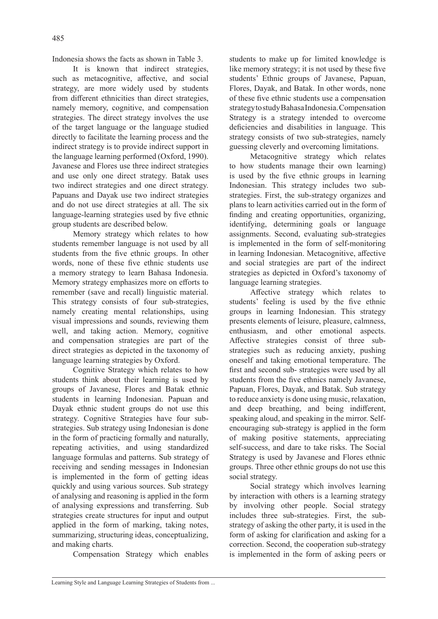Indonesia shows the facts as shown in Table 3.

It is known that indirect strategies, such as metacognitive, affective, and social strategy, are more widely used by students from different ethnicities than direct strategies, namely memory, cognitive, and compensation strategies. The direct strategy involves the use of the target language or the language studied directly to facilitate the learning process and the indirect strategy is to provide indirect support in the language learning performed (Oxford, 1990). Javanese and Flores use three indirect strategies and use only one direct strategy. Batak uses two indirect strategies and one direct strategy. Papuans and Dayak use two indirect strategies and do not use direct strategies at all. The six language-learning strategies used by five ethnic group students are described below.

Memory strategy which relates to how students remember language is not used by all students from the five ethnic groups. In other words, none of these five ethnic students use a memory strategy to learn Bahasa Indonesia. Memory strategy emphasizes more on efforts to remember (save and recall) linguistic material. This strategy consists of four sub-strategies, namely creating mental relationships, using visual impressions and sounds, reviewing them well, and taking action. Memory, cognitive and compensation strategies are part of the direct strategies as depicted in the taxonomy of language learning strategies by Oxford.

Cognitive Strategy which relates to how students think about their learning is used by groups of Javanese, Flores and Batak ethnic students in learning Indonesian. Papuan and Dayak ethnic student groups do not use this strategy. Cognitive Strategies have four substrategies. Sub strategy using Indonesian is done in the form of practicing formally and naturally, repeating activities, and using standardized language formulas and patterns. Sub strategy of receiving and sending messages in Indonesian is implemented in the form of getting ideas quickly and using various sources. Sub strategy of analysing and reasoning is applied in the form of analysing expressions and transferring. Sub strategies create structures for input and output applied in the form of marking, taking notes, summarizing, structuring ideas, conceptualizing, and making charts.

Compensation Strategy which enables

students to make up for limited knowledge is like memory strategy; it is not used by these five students' Ethnic groups of Javanese, Papuan, Flores, Dayak, and Batak. In other words, none of these five ethnic students use a compensation strategy to study Bahasa Indonesia. Compensation Strategy is a strategy intended to overcome deficiencies and disabilities in language. This strategy consists of two sub-strategies, namely guessing cleverly and overcoming limitations.

Metacognitive strategy which relates to how students manage their own learning) is used by the five ethnic groups in learning Indonesian. This strategy includes two substrategies. First, the sub-strategy organizes and plans to learn activities carried out in the form of finding and creating opportunities, organizing, identifying, determining goals or language assignments. Second, evaluating sub-strategies is implemented in the form of self-monitoring in learning Indonesian. Metacognitive, affective and social strategies are part of the indirect strategies as depicted in Oxford's taxonomy of language learning strategies.

Affective strategy which relates to students' feeling is used by the five ethnic groups in learning Indonesian. This strategy presents elements of leisure, pleasure, calmness, enthusiasm, and other emotional aspects. Affective strategies consist of three substrategies such as reducing anxiety, pushing oneself and taking emotional temperature. The first and second sub- strategies were used by all students from the five ethnics namely Javanese, Papuan, Flores, Dayak, and Batak. Sub strategy to reduce anxiety is done using music, relaxation, and deep breathing, and being indifferent, speaking aloud, and speaking in the mirror. Selfencouraging sub-strategy is applied in the form of making positive statements, appreciating self-success, and dare to take risks. The Social Strategy is used by Javanese and Flores ethnic groups. Three other ethnic groups do not use this social strategy.

Social strategy which involves learning by interaction with others is a learning strategy by involving other people. Social strategy includes three sub-strategies. First, the substrategy of asking the other party, it is used in the form of asking for clarification and asking for a correction. Second, the cooperation sub-strategy is implemented in the form of asking peers or

Learning Style and Language Learning Strategies of Students from ...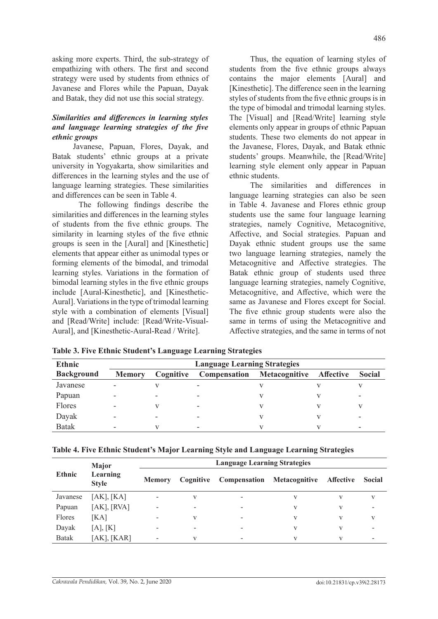asking more experts. Third, the sub-strategy of empathizing with others. The first and second strategy were used by students from ethnics of Javanese and Flores while the Papuan, Dayak and Batak, they did not use this social strategy.

## *Similarities and differences in learning styles and language learning strategies of the five ethnic groups*

Javanese, Papuan, Flores, Dayak, and Batak students' ethnic groups at a private university in Yogyakarta, show similarities and differences in the learning styles and the use of language learning strategies. These similarities and differences can be seen in Table 4.

The following findings describe the similarities and differences in the learning styles of students from the five ethnic groups. The similarity in learning styles of the five ethnic groups is seen in the [Aural] and [Kinesthetic] elements that appear either as unimodal types or forming elements of the bimodal, and trimodal learning styles. Variations in the formation of bimodal learning styles in the five ethnic groups include [Aural-Kinesthetic], and [Kinesthetic-Aural]. Variations in the type of trimodal learning style with a combination of elements [Visual] and [Read/Write] include: [Read/Write-Visual-Aural], and [Kinesthetic-Aural-Read / Write].

Thus, the equation of learning styles of students from the five ethnic groups always contains the major elements [Aural] and [Kinesthetic]. The difference seen in the learning styles of students from the five ethnic groups is in the type of bimodal and trimodal learning styles. The [Visual] and [Read/Write] learning style elements only appear in groups of ethnic Papuan students. These two elements do not appear in the Javanese, Flores, Dayak, and Batak ethnic students' groups. Meanwhile, the [Read/Write] learning style element only appear in Papuan ethnic students.

The similarities and differences in language learning strategies can also be seen in Table 4. Javanese and Flores ethnic group students use the same four language learning strategies, namely Cognitive, Metacognitive, Affective, and Social strategies. Papuan and Dayak ethnic student groups use the same two language learning strategies, namely the Metacognitive and Affective strategies. The Batak ethnic group of students used three language learning strategies, namely Cognitive, Metacognitive, and Affective, which were the same as Javanese and Flores except for Social. The five ethnic group students were also the same in terms of using the Metacognitive and Affective strategies, and the same in terms of not

| <b>Ethnic</b>     |               |           |              | <b>Language Learning Strategies</b> |                  |               |
|-------------------|---------------|-----------|--------------|-------------------------------------|------------------|---------------|
| <b>Background</b> | <b>Memory</b> | Cognitive | Compensation | Metacognitive                       | <b>Affective</b> | <b>Social</b> |
| Javanese          |               |           |              |                                     |                  |               |
| Papuan            |               | -         |              |                                     |                  |               |
| Flores            |               |           |              |                                     |                  |               |
| Dayak             |               | -         |              |                                     |                  |               |
| Batak             |               |           |              |                                     |                  |               |

|  |  |  |  |  |  | Table 3. Five Ethnic Student's Language Learning Strategies |
|--|--|--|--|--|--|-------------------------------------------------------------|
|--|--|--|--|--|--|-------------------------------------------------------------|

|               | <b>Major</b>             | <b>Language Learning Strategies</b> |           |                                   |   |                  |        |  |
|---------------|--------------------------|-------------------------------------|-----------|-----------------------------------|---|------------------|--------|--|
| <b>Ethnic</b> | Learning<br><b>Style</b> | <b>Memory</b>                       | Cognitive | <b>Compensation Metacognitive</b> |   | <b>Affective</b> | Social |  |
| Javanese      | [AK], [KA]               |                                     | V         | -                                 | V | V                | V      |  |
| Papuan        | [AK], [RVA]              |                                     |           | -                                 | V | V                |        |  |
| Flores        | [KA]                     |                                     | V         | $\overline{\phantom{a}}$          | V | V                | V      |  |
| Dayak         | [A], [K]                 | -                                   | -         | -                                 | V | V                |        |  |
| <b>Batak</b>  | $[AK]$ , $[KAR]$         |                                     | V         | $\overline{\phantom{a}}$          | V | V                |        |  |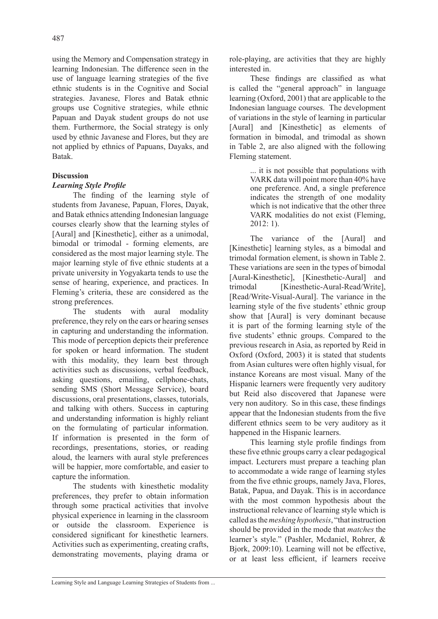using the Memory and Compensation strategy in learning Indonesian. The difference seen in the use of language learning strategies of the five ethnic students is in the Cognitive and Social strategies. Javanese, Flores and Batak ethnic groups use Cognitive strategies, while ethnic Papuan and Dayak student groups do not use them. Furthermore, the Social strategy is only used by ethnic Javanese and Flores, but they are not applied by ethnics of Papuans, Dayaks, and Batak.

### **Discussion**

## *Learning Style Profile*

The finding of the learning style of students from Javanese, Papuan, Flores, Dayak, and Batak ethnics attending Indonesian language courses clearly show that the learning styles of [Aural] and [Kinesthetic], either as a unimodal, bimodal or trimodal - forming elements, are considered as the most major learning style. The major learning style of five ethnic students at a private university in Yogyakarta tends to use the sense of hearing, experience, and practices. In Fleming's criteria, these are considered as the strong preferences.

The students with aural modality preference, they rely on the ears or hearing senses in capturing and understanding the information. This mode of perception depicts their preference for spoken or heard information. The student with this modality, they learn best through activities such as discussions, verbal feedback, asking questions, emailing, cellphone-chats, sending SMS (Short Message Service), board discussions, oral presentations, classes, tutorials, and talking with others. Success in capturing and understanding information is highly reliant on the formulating of particular information. If information is presented in the form of recordings, presentations, stories, or reading aloud, the learners with aural style preferences will be happier, more comfortable, and easier to capture the information.

The students with kinesthetic modality preferences, they prefer to obtain information through some practical activities that involve physical experience in learning in the classroom or outside the classroom. Experience is considered significant for kinesthetic learners. Activities such as experimenting, creating crafts, demonstrating movements, playing drama or role-playing, are activities that they are highly interested in.

These findings are classified as what is called the "general approach" in language learning (Oxford, 2001) that are applicable to the Indonesian language courses. The development of variations in the style of learning in particular [Aural] and [Kinesthetic] as elements of formation in bimodal, and trimodal as shown in Table 2, are also aligned with the following Fleming statement.

> ... it is not possible that populations with VARK data will point more than 40% have one preference. And, a single preference indicates the strength of one modality which is not indicative that the other three VARK modalities do not exist (Fleming, 2012: 1).

The variance of the [Aural] and [Kinesthetic] learning styles, as a bimodal and trimodal formation element, is shown in Table 2. These variations are seen in the types of bimodal [Aural-Kinesthetic], [Kinesthetic-Aural] and trimodal [Kinesthetic-Aural-Read/Write], [Read/Write-Visual-Aural]. The variance in the learning style of the five students' ethnic group show that [Aural] is very dominant because it is part of the forming learning style of the five students' ethnic groups. Compared to the previous research in Asia, as reported by Reid in Oxford (Oxford, 2003) it is stated that students from Asian cultures were often highly visual, for instance Koreans are most visual. Many of the Hispanic learners were frequently very auditory but Reid also discovered that Japanese were very non auditory. So in this case, these findings appear that the Indonesian students from the five different ethnics seem to be very auditory as it happened in the Hispanic learners.

This learning style profile findings from these five ethnic groups carry a clear pedagogical impact. Lecturers must prepare a teaching plan to accommodate a wide range of learning styles from the five ethnic groups, namely Java, Flores, Batak, Papua, and Dayak. This is in accordance with the most common hypothesis about the instructional relevance of learning style which is called as the *meshing hypothesis*, "that instruction should be provided in the mode that *matches* the learner's style." (Pashler, Mcdaniel, Rohrer, & Bjork, 2009:10). Learning will not be effective, or at least less efficient, if learners receive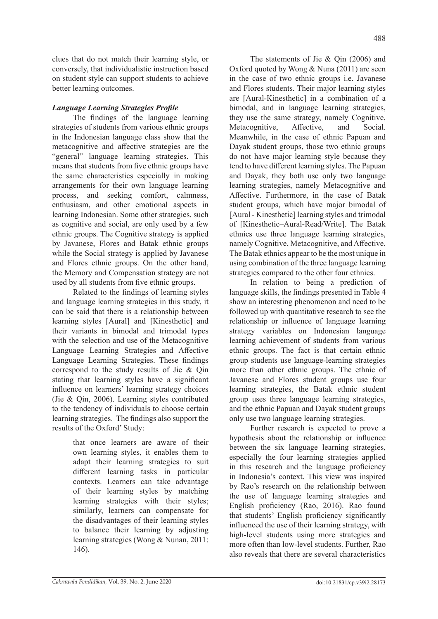clues that do not match their learning style, or conversely, that individualistic instruction based on student style can support students to achieve better learning outcomes.

# *Language Learning Strategies Profile*

The findings of the language learning strategies of students from various ethnic groups in the Indonesian language class show that the metacognitive and affective strategies are the "general" language learning strategies. This means that students from five ethnic groups have the same characteristics especially in making arrangements for their own language learning process, and seeking comfort, calmness, enthusiasm, and other emotional aspects in learning Indonesian. Some other strategies, such as cognitive and social, are only used by a few ethnic groups. The Cognitive strategy is applied by Javanese, Flores and Batak ethnic groups while the Social strategy is applied by Javanese and Flores ethnic groups. On the other hand, the Memory and Compensation strategy are not used by all students from five ethnic groups.

Related to the findings of learning styles and language learning strategies in this study, it can be said that there is a relationship between learning styles [Aural] and [Kinesthetic] and their variants in bimodal and trimodal types with the selection and use of the Metacognitive Language Learning Strategies and Affective Language Learning Strategies. These findings correspond to the study results of Jie & Qin stating that learning styles have a significant influence on learners' learning strategy choices (Jie & Qin, 2006). Learning styles contributed to the tendency of individuals to choose certain learning strategies. The findings also support the results of the Oxford' Study:

> that once learners are aware of their own learning styles, it enables them to adapt their learning strategies to suit different learning tasks in particular contexts. Learners can take advantage of their learning styles by matching learning strategies with their styles; similarly, learners can compensate for the disadvantages of their learning styles to balance their learning by adjusting learning strategies (Wong & Nunan, 2011: 146).

The statements of Jie & Qin (2006) and Oxford quoted by Wong & Nuna (2011) are seen in the case of two ethnic groups i.e. Javanese and Flores students. Their major learning styles are [Aural-Kinesthetic] in a combination of a bimodal, and in language learning strategies, they use the same strategy, namely Cognitive, Metacognitive, Affective, and Social. Meanwhile, in the case of ethnic Papuan and Dayak student groups, those two ethnic groups do not have major learning style because they tend to have different learning styles. The Papuan and Dayak, they both use only two language learning strategies, namely Metacognitive and Affective. Furthermore, in the case of Batak student groups, which have major bimodal of [Aural - Kinesthetic] learning styles and trimodal of [Kinesthetic–Aural-Read/Write]. The Batak ethnics use three language learning strategies, namely Cognitive, Metacognitive, and Affective. The Batak ethnics appear to be the most unique in using combination of the three language learning strategies compared to the other four ethnics.

In relation to being a prediction of language skills, the findings presented in Table 4 show an interesting phenomenon and need to be followed up with quantitative research to see the relationship or influence of language learning strategy variables on Indonesian language learning achievement of students from various ethnic groups. The fact is that certain ethnic group students use language-learning strategies more than other ethnic groups. The ethnic of Javanese and Flores student groups use four learning strategies, the Batak ethnic student group uses three language learning strategies, and the ethnic Papuan and Dayak student groups only use two language learning strategies.

Further research is expected to prove a hypothesis about the relationship or influence between the six language learning strategies, especially the four learning strategies applied in this research and the language proficiency in Indonesia's context. This view was inspired by Rao's research on the relationship between the use of language learning strategies and English proficiency (Rao, 2016). Rao found that students' English proficiency significantly influenced the use of their learning strategy, with high-level students using more strategies and more often than low-level students. Further, Rao also reveals that there are several characteristics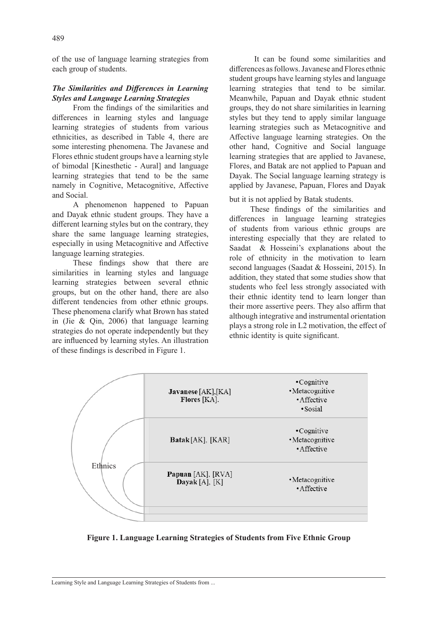of the use of language learning strategies from each group of students.

#### *The Similarities and Differences in Learning Styles and Language Learning Strategies*

From the findings of the similarities and differences in learning styles and language learning strategies of students from various ethnicities, as described in Table 4, there are some interesting phenomena. The Javanese and Flores ethnic student groups have a learning style of bimodal [Kinesthetic - Aural] and language learning strategies that tend to be the same namely in Cognitive, Metacognitive, Affective and Social.

A phenomenon happened to Papuan and Dayak ethnic student groups. They have a different learning styles but on the contrary, they share the same language learning strategies, especially in using Metacognitive and Affective language learning strategies.

These findings show that there are similarities in learning styles and language learning strategies between several ethnic groups, but on the other hand, there are also different tendencies from other ethnic groups. These phenomena clarify what Brown has stated in (Jie & Qin, 2006) that language learning strategies do not operate independently but they are influenced by learning styles. An illustration of these findings is described in Figure 1.

 It can be found some similarities and differences as follows. Javanese and Flores ethnic student groups have learning styles and language learning strategies that tend to be similar. Meanwhile, Papuan and Dayak ethnic student groups, they do not share similarities in learning styles but they tend to apply similar language learning strategies such as Metacognitive and Affective language learning strategies. On the other hand, Cognitive and Social language learning strategies that are applied to Javanese, Flores, and Batak are not applied to Papuan and Dayak. The Social language learning strategy is applied by Javanese, Papuan, Flores and Dayak

but it is not applied by Batak students.

These findings of the similarities and differences in language learning strategies of students from various ethnic groups are interesting especially that they are related to Saadat & Hosseini's explanations about the role of ethnicity in the motivation to learn second languages (Saadat & Hosseini, 2015). In addition, they stated that some studies show that students who feel less strongly associated with their ethnic identity tend to learn longer than their more assertive peers. They also affirm that although integrative and instrumental orientation plays a strong role in L2 motivation, the effect of ethnic identity is quite significant.



**Figure 1. Language Learning Strategies of Students from Five Ethnic Group**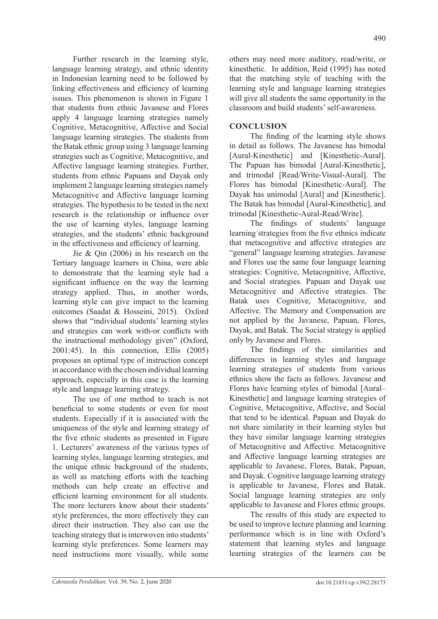Further research in the learning style, language learning strategy, and ethnic identity in Indonesian learning need to be followed by linking effectiveness and efficiency of learning issues. This phenomenon is shown in Figure 1 that students from ethnic Javanese and Flores apply 4 language learning strategies namely Cognitive, Metacognitive, Affective and Social language learning strategies. The students from the Batak ethnic group using 3 language learning strategies such as Cognitive, Metacognitive, and Affective language learning strategies. Further, students from ethnic Papuans and Dayak only implement 2 language learning strategies namely Metacognitive and Affective language learning strategies. The hypothesis to be tested in the next research is the relationship or influence over the use of learning styles, language learning strategies, and the students' ethnic background in the effectiveness and efficiency of learning.

Jie & Qin (2006) in his research on the Tertiary language learners in China, were able to demonstrate that the learning style had a significant influence on the way the learning strategy applied. Thus, in another words, learning style can give impact to the learning outcomes (Saadat & Hosseini, 2015). Oxford shows that "individual students' learning styles and strategies can work with-or conflicts with the instructional methodology given" (Oxford, 2001:45). In this connection, Ellis (2005) proposes an optimal type of instruction concept in accordance with the chosen individual learning approach, especially in this case is the learning style and language learning strategy.

The use of one method to teach is not beneficial to some students or even for most students. Especially if it is associated with the uniqueness of the style and learning strategy of the five ethnic students as presented in Figure 1. Lecturers' awareness of the various types of learning styles, language learning strategies, and the unique ethnic background of the students, as well as matching efforts with the teaching methods can help create an effective and efficient learning environment for all students. The more lecturers know about their students' style preferences, the more effectively they can direct their instruction. They also can use the teaching strategy that is interwoven into students' learning style preferences. Some learners may need instructions more visually, while some others may need more auditory, read/write, or kinesthetic. In addition, Reid (1995) has noted that the matching style of teaching with the learning style and language learning strategies will give all students the same opportunity in the classroom and build students' self-awareness.

## **CONCLUSION**

The finding of the learning style shows in detail as follows. The Javanese has bimodal [Aural-Kinesthetic] and [Kinesthetic-Aural]. The Papuan has bimodal [Aural-Kinesthetic], and trimodal [Read/Write-Visual-Aural]. The Flores has bimodal [Kinesthetic-Aural]. The Dayak has unimodal [Aural] and [Kinesthetic]. The Batak has bimodal [Aural-Kinesthetic], and trimodal [Kinesthetic-Aural-Read/Write].

The findings of students' language learning strategies from the five ethnics indicate that metacognitive and affective strategies are "general" language learning strategies. Javanese and Flores use the same four language learning strategies: Cognitive, Metacognitive, Affective, and Social strategies. Papuan and Dayak use Metacognitive and Affective strategies. The Batak uses Cognitive, Metacognitive, and Affective. The Memory and Compensation are not applied by the Javanese, Papuan, Flores, Dayak, and Batak. The Social strategy is applied only by Javanese and Flores.

The findings of the similarities and differences in learning styles and language learning strategies of students from various ethnics show the facts as follows. Javanese and Flores have learning styles of bimodal [Aural– Kinesthetic] and language learning strategies of Cognitive, Metacognitive, Affective, and Social that tend to be identical. Papuan and Dayak do not share similarity in their learning styles but they have similar language learning strategies of Metacognitive and Affective. Metacognitive and Affective language learning strategies are applicable to Javanese, Flores, Batak, Papuan, and Dayak. Cognitive language learning strategy is applicable to Javanese, Flores and Batak. Social language learning strategies are only applicable to Javanese and Flores ethnic groups.

The results of this study are expected to be used to improve lecture planning and learning performance which is in line with Oxford's statement that learning styles and language learning strategies of the learners can be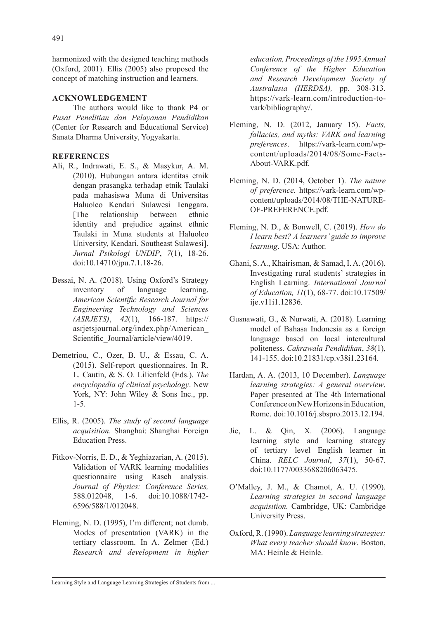harmonized with the designed teaching methods (Oxford, 2001). Ellis (2005) also proposed the concept of matching instruction and learners.

### **ACKNOWLEDGEMENT**

The authors would like to thank P4 or *Pusat Penelitian dan Pelayanan Pendidikan* (Center for Research and Educational Service) Sanata Dharma University, Yogyakarta.

### **REFERENCES**

- Ali, R., Indrawati, E. S., & Masykur, A. M. (2010). Hubungan antara identitas etnik dengan prasangka terhadap etnik Taulaki pada mahasiswa Muna di Universitas Haluoleo Kendari Sulawesi Tenggara. [The relationship between ethnic identity and prejudice against ethnic Taulaki in Muna students at Haluoleo University, Kendari, Southeast Sulawesi]. *Jurnal Psikologi UNDIP*, *7*(1), 18-26. doi:10.14710/jpu.7.1.18-26.
- Bessai, N. A. (2018). Using Oxford's Strategy inventory of language learning. *American Scientific Research Journal for Engineering Technology and Sciences (ASRJETS)*, *42*(1), 166-187. https:// asrjetsjournal.org/index.php/American\_ Scientific\_Journal/article/view/4019.
- Demetriou, C., Ozer, B. U., & Essau, C. A. (2015). Self‐report questionnaires. In R. L. Cautin, & S. O. Lilienfeld (Eds.). *The encyclopedia of clinical psychology*. New York, NY: John Wiley & Sons Inc., pp. 1-5.
- Ellis, R. (2005). *The study of second language acquisition*. Shanghai: Shanghai Foreign Education Press.
- Fitkov-Norris, E. D., & Yeghiazarian, A. (2015). Validation of VARK learning modalities questionnaire using Rasch analysis*. Journal of Physics: Conference Series,* 588.012048, 1-6. doi:10.1088/1742- 6596/588/1/012048.
- Fleming, N. D. (1995), I'm different; not dumb. Modes of presentation (VARK) in the tertiary classroom. In A. Zelmer (Ed.) *Research and development in higher*

*education, Proceedings of the 1995 Annual Conference of the Higher Education and Research Development Society of Australasia (HERDSA),* pp. 308-313. https://vark-learn.com/introduction-tovark/bibliography/.

- Fleming, N. D. (2012, January 15). *Facts, fallacies, and myths: VARK and learning preferences*. https://vark-learn.com/wpcontent/uploads/2014/08/Some-Facts-About-VARK.pdf.
- Fleming, N. D. (2014, October 1). *The nature of preference.* https://vark-learn.com/wpcontent/uploads/2014/08/THE-NATURE-OF-PREFERENCE.pdf.
- Fleming, N. D., & Bonwell, C. (2019). *How do I learn best? A learners' guide to improve learning*. USA: Author.
- Ghani, S. A., Khairisman, & Samad, I. A. (2016). Investigating rural students' strategies in English Learning. *International Journal of Education, 11*(1), 68-77. doi:10.17509/ ije.v11i1.12836.
- Gusnawati, G., & Nurwati, A. (2018). Learning model of Bahasa Indonesia as a foreign language based on local intercultural politeness. *Cakrawala Pendidikan*, *38*(1), 141-155. doi:10.21831/cp.v38i1.23164.
- Hardan, A. A. (2013, 10 December). *Language learning strategies: A general overview*. Paper presented at The 4th International Conference on New Horizons in Education, Rome. doi:10.1016/j.sbspro.2013.12.194.
- Jie, L. & Qin, X. (2006). Language learning style and learning strategy of tertiary level English learner in China. *RELC Journal*, *37*(1), 50-67. doi:10.1177/0033688206063475.
- O'Malley, J. M., & Chamot, A. U. (1990). *Learning strategies in second language acquisition.* Cambridge, UK: Cambridge University Press.
- Oxford, R. (1990). *Language learning strategies: What every teacher should know*. Boston, MA: Heinle & Heinle.

Learning Style and Language Learning Strategies of Students from ...